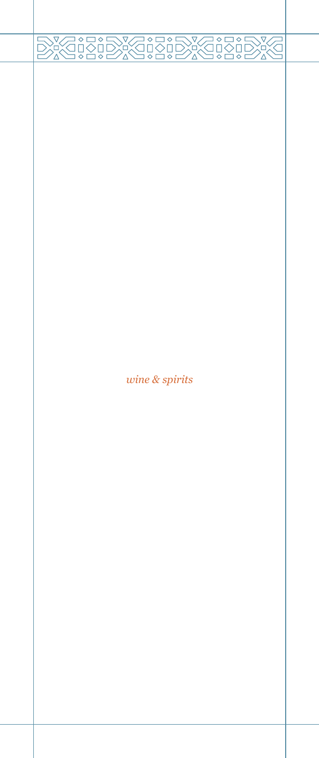

*wine & spirits*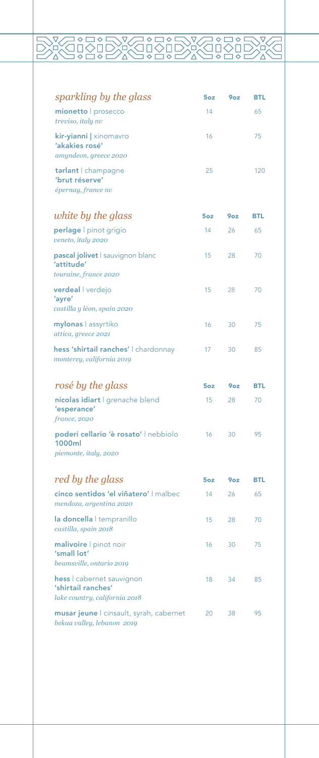# **Dienst Die Stein besonderen**

| sparkling by the glass                                                           | 5oz | 9oz | BTL |
|----------------------------------------------------------------------------------|-----|-----|-----|
| mionetto   prosecco<br>treviso, italy nv                                         | 14  |     | 65  |
| kir-yianni   xinomavro<br>'akakies rosé'<br>amyndeon, greece 2020                | 16  |     | 75  |
| tarlant   champagne<br>'brut réserve'<br>épernay, france nv                      | 25  |     | 120 |
| white by the glass                                                               | 5oz | 9oz | BTL |
| perlage   pinot grigio<br>veneto, italy 2020                                     | 14  | 26  | 65  |
| pascal jolivet   sauvignon blanc<br>'attitude'<br>touraine, france 2020          | 15  | 28  | 70  |
| verdeal I verdejo<br>'ayre'                                                      | 15  | 28  | 70  |
| castilla y léon, spain 2020                                                      |     |     |     |
| mylonas   assyrtiko<br>attica, greece 2021                                       | 16  | 30  | 75  |
| hess 'shirtail ranches'   chardonnay<br>monterey, california 2019                | 17  | 30  | 85  |
| rosé by the glass                                                                | 5oz | 9oz | BTL |
| nicolas idiart   grenache blend<br>'esperance'<br>france, 2020                   | 15  | 28  | 70  |
| poderi cellario 'è rosato'   nebbiolo<br>1000ml<br>piemonte, italy, 2020         | 16  | 30  | 95  |
| red by the glass                                                                 | 5oz | 9oz | BTL |
| cinco sentidos 'el viñatero'   malbec<br>mendoza, argentina 2020                 | 14  | 26  | 65  |
| la doncella   tempranillo<br>castilla, spain 2018                                | 15  | 28  | 70  |
| malivoire   pinot noir<br>'small lot'<br>beamsville, ontario 2019                | 16  | 30  | 75  |
| hess I cabernet sauvignon<br>'shirtail ranches'<br>lake country, california 2018 | 18  | 34  | 85  |
| musar jeune   cinsault, syrah, cabernet<br>bekaa valley, lebanon 2019            | 20  | 38  | 95  |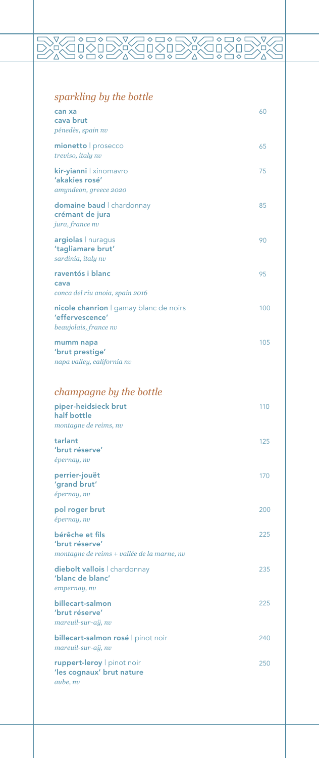# *sparkling by the bottle*

D

Е Ĕ

XQ:Z:DXQ:Z:DXQ:Z:DX

 $\overline{\mathbb{C}}$ 

ī

| can xa<br>cava brut<br>pénedès, spain nv                                           | 60  |
|------------------------------------------------------------------------------------|-----|
| mionetto   prosecco<br>treviso, italy nv                                           | 65  |
| kir-yianni   xinomavro<br>'akakies rosé'<br>amyndeon, greece 2020                  | 75  |
| domaine baud   chardonnay<br>crémant de jura<br>jura, france nv                    | 85  |
| argiolas   nuragus<br>'tagliamare brut'<br>sardinia, italy nv                      | 90  |
| raventós i blanc<br>cava<br>conca del riu anoia, spain 2016                        | 95  |
| nicole chanrion   gamay blanc de noirs<br>'effervescence'<br>beaujolais, france nv | 100 |
| mumm napa<br>'brut prestige'<br>napa valley, california nv                         | 105 |
| champagne by the bottle                                                            |     |
| piper-heidsieck brut<br>half bottle<br>montagne de reims, nv                       | 110 |
| tarlant<br>'brut réserve'<br>épernay, nv                                           | 125 |
| perrier-jouët<br>'grand brut'<br>épernay, nv                                       | 170 |
| pol roger brut<br>épernay, nv                                                      | 200 |
| bérêche et fils<br>'brut réserve'<br>montagne de reims + vallée de la marne, nv    | 225 |
| diebolt vallois   chardonnay<br>'blanc de blanc'<br>empernay, nv                   | 235 |
| billecart-salmon<br>'brut réserve'<br>mareuil-sur-aÿ, nv                           | 225 |
| billecart-salmon rosé   pinot noir<br>mareuil-sur-aÿ, nv                           | 240 |
| ruppert-leroy   pinot noir<br>'les cognaux' brut nature<br>aube, nv                | 250 |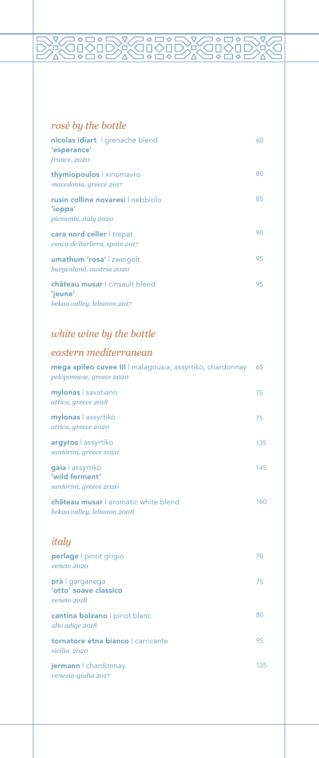#### $\overline{\Sigma}$ ٦ г ук<br>СК ⊲  $\Xi$ Г Δ ′∆ г

## *rosé by the bottle*

| nicolas idiart I grenache blend<br>'esperance'<br>france, 2020          | 60 |
|-------------------------------------------------------------------------|----|
| <b>thymiopoulos</b>   xinomavro<br>macedonia, greece 2017               | 80 |
| rusin colline novaresi nebbiolo<br>'ioppa'<br>piemonte, italy 2020      | 85 |
| cara nord celler   trepat<br>conca de barbera, spain 2017               | 90 |
| umathum 'rosa'   zweigelt<br>burgenland, austria 2020                   | 95 |
| château musar   cinsault blend<br>'jeune'<br>bekaa valley, lebanon 2017 | 95 |

# *white wine by the bottle*

## *eastern mediterranean*

| <b>mega spileo cuvee III</b>   malagousia, assyrtiko, chardonnay<br>peloponnese, greece 2020 | 65  |
|----------------------------------------------------------------------------------------------|-----|
| mylonas savatiano<br>attica, greece 2018                                                     | 75  |
| mylonas assyrtiko<br>attica, greece 2020                                                     | 75  |
| argyros assyrtiko<br>santorini, greece 2020                                                  | 135 |
| gaia assyrtiko<br>'wild ferment'<br>santorini, greece 2020                                   | 145 |
| <b>château musar</b> l aromatic white blend<br>bekaa valley, lebanon 2008                    | 160 |
| italy                                                                                        |     |
| <b>perlage</b>   pinot grigio                                                                | 70  |

*veneto 2020* **prà** l garganega 'otto' soave classico *veneto 2018* cantina bolzano | pinot blanc *alto adige 2018* tornatore etna bianco | carricante *sicilia 2020* jermann | chardonnay *venezia-giulia 2017* 75 80 95 135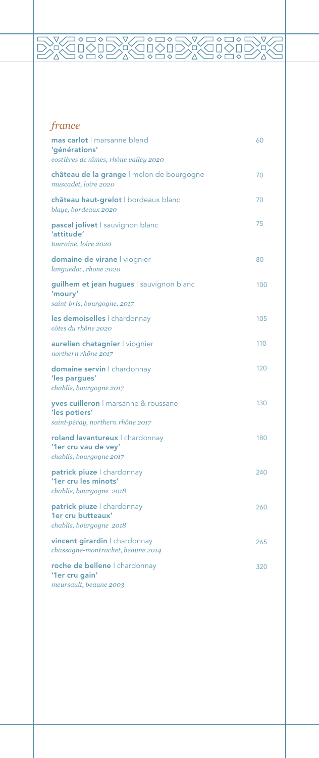# *france*

| mas carlot   marsanne blend<br>'générations'<br>costières de nîmes, rhône valley 2020          | 60  |
|------------------------------------------------------------------------------------------------|-----|
| château de la grange   melon de bourgogne<br>muscadet, loire 2020                              | 70  |
| château haut-grelot   bordeaux blanc<br>blaye, bordeaux 2020                                   | 70  |
| pascal jolivet   sauvignon blanc<br>'attitude'<br>touraine, loire 2020                         | 75  |
| domaine de virane l viognier<br>languedoc, rhone 2020                                          | 80  |
| guilhem et jean hugues I sauvignon blanc<br>'moury'<br>saint-bris, bourgogne, 2017             | 100 |
| les demoiselles   chardonnay<br>côtes du rhône 2020                                            | 105 |
| aurelien chatagnier   viognier<br>northern rhône 2017                                          | 110 |
| domaine servin   chardonnay<br>'les pargues'<br>chablis, bourgogne 2017                        | 120 |
| <b>yves cuilleron</b> marsanne & roussane<br>'les potiers'<br>saint-péray, northern rhône 2017 | 130 |
| roland lavantureux   chardonnay<br>'1er cru vau de vey'<br>chablis, bourgogne 2017             | 180 |
| patrick piuze   chardonnay<br>'1er cru les minots'<br>chablis, bourgogne 2018                  | 240 |
| patrick piuze   chardonnay<br>1er cru butteaux'<br>chablis, bourgogne 2018                     | 260 |
| vincent girardin   chardonnay<br>chassagne-montrachet, beaune 2014                             | 265 |
| roche de bellene   chardonnay<br>'1er cru gain'<br>meursault, beaune 2003                      | 320 |

**Digibio Microsofica**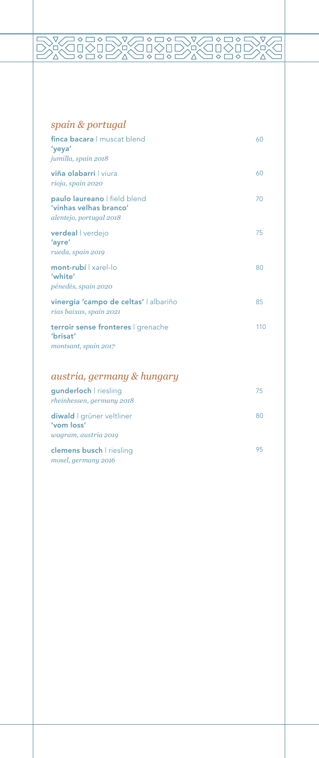#### XGISIDXGISIDXGISID **ANSIS** Е  $\mathbb D$ Г

# *spain & portugal*

| finca bacara   muscat blend<br>'yeya'<br>jumilla, spain 2018                      | 60  |
|-----------------------------------------------------------------------------------|-----|
| viña olabarri   viura<br>rioja, spain 2020                                        | 60  |
| paulo laureano I field blend<br>'vinhas velhas branco'<br>alentejo, portugal 2018 | 70  |
| verdeal I verdejo<br>'ayre'<br>rueda, spain 2019                                  | 75  |
| mont-rubí   xarel-lo<br>'white'<br>pénedès, spain 2020                            | 80  |
| vinergia 'campo de celtas'   albariño<br>rias baixas, spain 2021                  | 85  |
| terroir sense fronteres   grenache<br>'brisat'<br>montsant, spain 2017            | 110 |
| austria, germany & hungary                                                        |     |
| gunderloch   riesling<br>rheinhessen, germany 2018                                | 75  |
| diwald   grüner veltliner<br>'vom loss'<br>wagram, austria 2019                   | 80  |
| clemens busch   riesling<br>mosel, germany 2016                                   | 95  |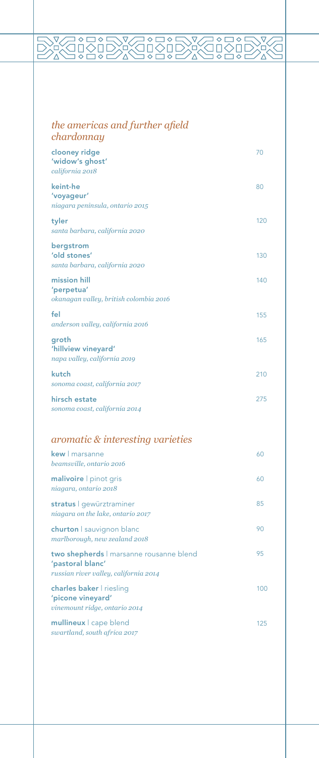### XQISIDXQISIDXQISID  $\nabla_{\zeta}$ ╳┥  $\Box$

 $\langle \cap$ 

# *the americas and further afield chardonnay*

D

Г

| clooney ridge<br>'widow's ghost'<br>california 2018                  | 70  |
|----------------------------------------------------------------------|-----|
| keint-he<br>'voyageur'<br>niagara peninsula, ontario 2015            | 80  |
| tyler<br>santa barbara, california 2020                              | 120 |
| bergstrom<br>'old stones'<br>santa barbara, california 2020          | 130 |
| mission hill<br>'perpetua'<br>okanagan valley, british colombia 2016 | 140 |
| fel<br>anderson valley, california 2016                              | 155 |
| groth<br>'hillview vineyard'<br>napa valley, california 2019         | 165 |
| kutch<br>sonoma coast, california 2017                               | 210 |
| hirsch estate<br>sonoma coast, california 2014                       | 275 |

# *aromatic & interesting varieties*

| kew   marsanne<br>beamsville, ontario 2016                                                                  | 60  |
|-------------------------------------------------------------------------------------------------------------|-----|
| malivoire   pinot gris<br>niagara, ontario 2018                                                             | 60  |
| stratus   gewürztraminer<br>niagara on the lake, ontario 2017                                               | 85  |
| <b>churton</b> sauvignon blanc<br>marlborough, new zealand 2018                                             | 90  |
| <b>two shepherds</b> I marsanne rousanne blend<br>'pastoral blanc'<br>russian river valley, california 2014 | 95  |
| <b>charles baker</b>   riesling<br>'picone vineyard'<br>vinemount ridge, ontario 2014                       | 100 |
| mullineux   cape blend<br>swartland, south africa 2017                                                      | 125 |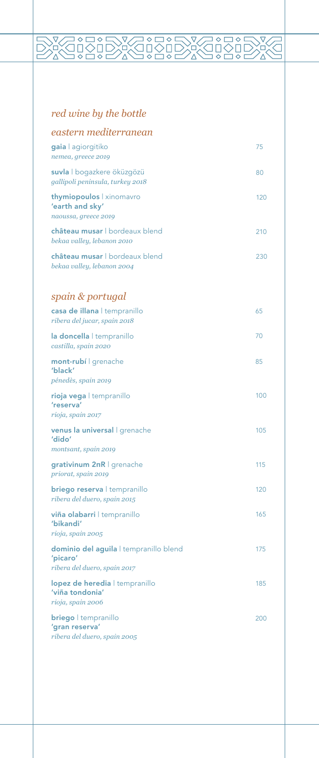# *red wine by the bottle*

D  $\Box$ Г

KG:Z:BKG:Z:BKG:Z:B

**ANSIS** 

| eastern mediterranean                                                                     |     |
|-------------------------------------------------------------------------------------------|-----|
| gaia   agiorgitiko<br>nemea, greece 2019                                                  | 75  |
| suvla I bogazkere öküzgözü<br>gallipoli peninsula, turkey 2018                            | 80  |
| thymiopoulos   xinomavro<br>'earth and sky'<br>naoussa, greece 2019                       | 120 |
| <b>château musar</b> I bordeaux blend<br>bekaa valley, lebanon 2010                       | 210 |
| <b>château musar</b> I bordeaux blend<br>bekaa valley, lebanon 2004                       | 230 |
| spain & portugal                                                                          |     |
| casa de illana I tempranillo<br>ribera del jucar, spain 2018                              | 65  |
| la doncella   tempranillo<br>castilla, spain 2020                                         | 70  |
| mont-rubí grenache<br>'black'<br>pénedès, spain 2019                                      | 85  |
| rioja vega   tempranillo<br>'reserva'<br>rioja, spain 2017                                | 100 |
| venus la universal   grenache<br>'dido'<br>montsant, spain 2019                           | 105 |
| grativinum 2nR   grenache<br>priorat, spain 2019                                          | 115 |
| <b>briego reserva</b> I tempranillo<br>ribera del duero, spain 2015                       | 120 |
| viña olabarri   tempranillo<br>'bikandi'<br>rioja, spain 2005                             | 165 |
| <b>dominio del aguila</b> l tempranillo blend<br>'picaro'<br>ribera del duero, spain 2017 | 175 |
| lopez de heredia   tempranillo<br>'viña tondonia'<br>rioja, spain 2006                    | 185 |
| <b>briego</b> I tempranillo<br>'gran reserva'<br>ribera del duero, spain 2005             | 200 |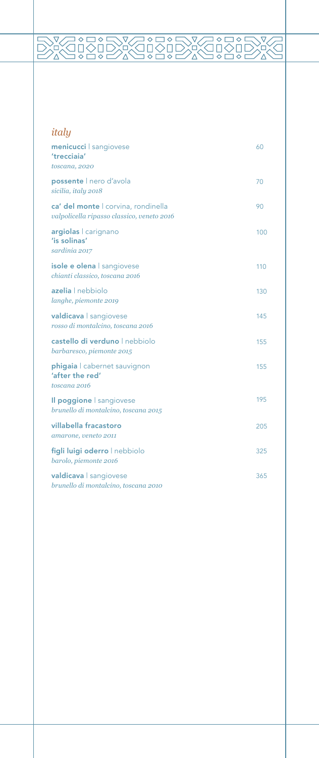# *italy*

D

Ē

 $\Box$ 

| <b>menicucci</b> sangiovese<br>'trecciaia'<br>toscana, 2020                       | 60  |
|-----------------------------------------------------------------------------------|-----|
| possente I nero d'avola<br>sicilia, italy 2018                                    | 70  |
| ca' del monte l corvina, rondinella<br>valpolicella ripasso classico, veneto 2016 | 90  |
| argiolas   carignano<br>'is solinas'<br>sardinia 2017                             | 100 |
| <b>isole e olena</b> sangiovese<br>chianti classico, toscana 2016                 | 110 |
| azelia   nebbiolo<br>langhe, piemonte 2019                                        | 130 |
| valdicava   sangiovese<br>rosso di montalcino, toscana 2016                       | 145 |
| castello di verduno I nebbiolo<br>barbaresco, piemonte 2015                       | 155 |
| phigaia   cabernet sauvignon<br>'after the red'<br>toscana 2016                   | 155 |
| Il poggione   sangiovese<br>brunello di montalcino, toscana 2015                  | 195 |
| villabella fracastoro<br>amarone, veneto 2011                                     | 205 |
| figli luigi oderro nebbiolo<br>barolo, piemonte 2016                              | 325 |
| valdicava   sangiovese<br>brunello di montalcino, toscana 2010                    | 365 |

XGISIDXGISIDXGISID

 $\frac{1}{\sqrt{2}}$ 

٦ ◁

ō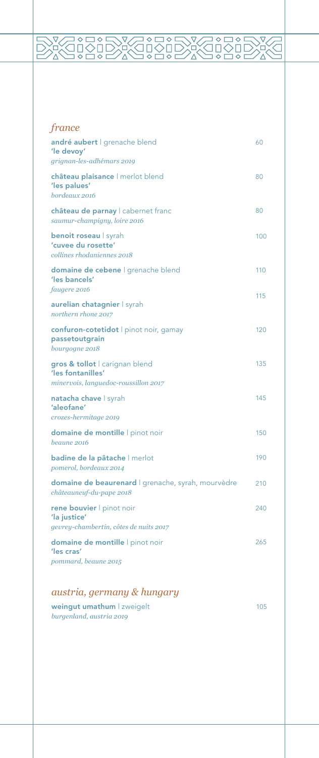# *france*

Е  $\mathbb D$ Г

| <b>andré aubert</b> I grenache blend<br>'le devoy'<br>grignan-les-adhémars 2019             | 60         |
|---------------------------------------------------------------------------------------------|------------|
| château plaisance   merlot blend<br>'les palues'<br>bordeaux 2016                           | 80         |
| château de parnay   cabernet franc<br>saumur-champigny, loire 2016                          | 80         |
| benoit roseau   syrah<br>'cuvee du rosette'<br>collines rhodaniennes 2018                   | 100        |
| domaine de cebene   grenache blend<br>'les bancels'<br>faugere 2016                         | 110<br>115 |
| aurelian chatagnier   syrah<br>northern rhone 2017                                          |            |
| confuron-cotetidot   pinot noir, gamay<br>passetoutgrain<br>bourgogne 2018                  | 120        |
| gros & tollot   carignan blend<br>'les fontanilles'<br>minervois, languedoc-roussillon 2017 | 135        |
| natacha chave I syrah<br>'aleofane'<br>crozes-hermitage 2019                                | 145        |
| domaine de montille   pinot noir<br>beaune 2016                                             | 150        |
| <b>badine de la pâtache</b> merlot<br>pomerol, bordeaux 2014                                | 190        |
| domaine de beaurenard   grenache, syrah, mourvèdre<br>châteauneuf-du-pape 2018              | 210        |
| rene bouvier   pinot noir<br>'la justice'<br>gevrey-chambertin, côtes de nuits 2017         | 240        |
| domaine de montille   pinot noir<br>'les cras'<br>pommard, beaune 2015                      | 265        |
|                                                                                             |            |

XGISIBXGISIBXGISIBXG

# *austria, germany & hungary*

| weingut umathum   zweigelt | 105 |
|----------------------------|-----|
| burgenland, austria 2019   |     |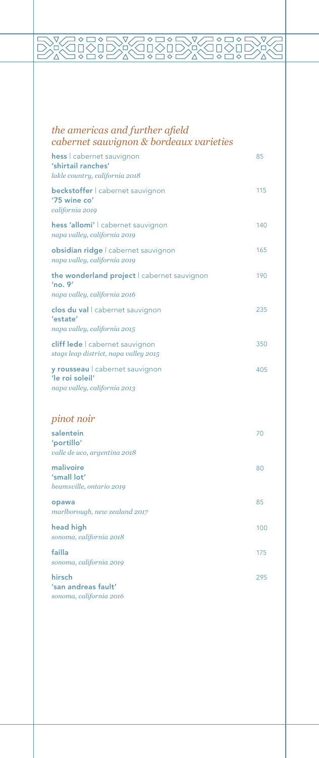### XGISIDXGISIDXGISIDXG D  $\overline{\mathsf{D}}$ Ē

| the americas and further afield<br>cabernet sauvignon & bordeaux varieties            |     |
|---------------------------------------------------------------------------------------|-----|
| hess   cabernet sauvignon<br>'shirtail ranches'<br>lakle country, california 2018     | 85  |
| beckstoffer   cabernet sauvignon<br>'75 wine co'<br>california 2019                   | 115 |
| hess 'allomi'   cabernet sauvignon<br>napa valley, california 2019                    | 140 |
| obsidian ridge   cabernet sauvignon<br>napa valley, california 2019                   | 165 |
| the wonderland project   cabernet sauvignon<br>'no.9'<br>napa valley, california 2016 | 190 |
| clos du val   cabernet sauvignon<br>'estate'<br>napa valley, california 2015          | 235 |
| cliff lede   cabernet sauvignon<br>stags leap district, napa valley 2015              | 350 |
| y rousseau   cabernet sauvignon<br>'le roi soleil'<br>napa valley, california 2013    | 405 |
| <i>pinot noir</i>                                                                     |     |
| salentein<br>'portillo'<br>valle de uco, argentina 2018                               | 70  |
| malivoire<br>'small lot'<br>beamsville, ontario 2019                                  | 80  |
| opawa<br>marlborough, new zealand 2017                                                | 85  |
| head high<br>sonoma, california 2018                                                  | 100 |
| failla<br>sonoma, california 2019                                                     | 175 |
| hirsch<br>'san andreas fault'<br>sonoma, california 2016                              | 295 |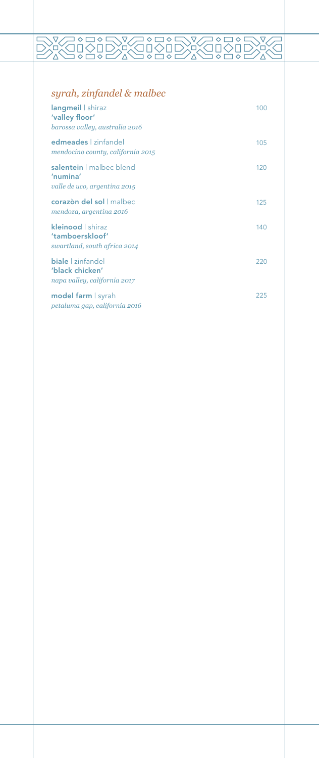#### KGISIDKGISIDKGISID  $\overline{\Sigma_{\lambda}^{0}}$ D コ  $\lesssim$  $\Box$ ∕⊼ Г ٦

# *syrah, zinfandel & malbec*

| $language $ shiraz<br>'valley floor'<br>barossa valley, australia 2016      | 100 |
|-----------------------------------------------------------------------------|-----|
| edmeades   zinfandel<br>mendocino county, california 2015                   | 105 |
| salentein   malbec blend<br>'numina'<br>valle de uco, argentina 2015        | 120 |
| corazòn del sol   malbec<br>mendoza, argentina 2016                         | 125 |
| kleinood   shiraz<br>'tamboerskloof'<br>swartland, south africa 2014        | 140 |
| <b>biale</b>   zinfandel<br>'black chicken'<br>napa valley, california 2017 | 220 |
| model farm I syrah<br>petaluma gap, california 2016                         | 225 |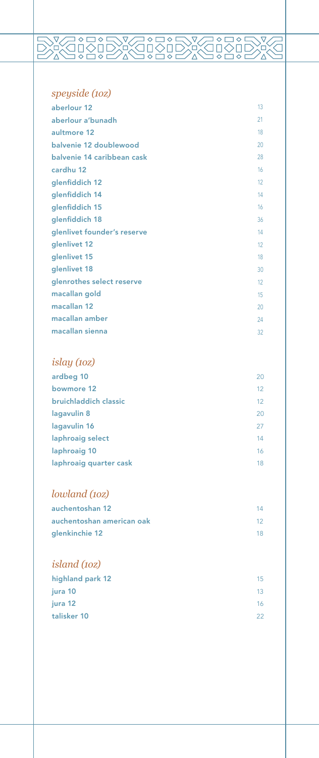#### <u>XGISIDYGISIDYGISIDY</u> D  $\lesssim$  $\Box$ Г

| speyside (10z)              |    |
|-----------------------------|----|
| aberlour 12                 | 13 |
| aberlour a'bunadh           | 21 |
| aultmore 12                 | 18 |
| balvenie 12 doublewood      | 20 |
| balvenie 14 caribbean cask  | 28 |
| cardhu 12                   | 16 |
| glenfiddich 12              | 12 |
| glenfiddich 14              | 14 |
| glenfiddich 15              | 16 |
| glenfiddich 18              | 36 |
| glenlivet founder's reserve | 14 |
| glenlivet 12                | 12 |
| glenlivet 15                | 18 |
| glenlivet 18                | 30 |
| glenrothes select reserve   | 12 |
| macallan gold               | 15 |
| macallan 12                 | 20 |
| macallan amber              | 24 |
| macallan sienna             | 32 |

# *islay (1oz)*

| ardbeg 10                    | 20 |
|------------------------------|----|
| bowmore 12                   | 12 |
| <b>bruichladdich classic</b> | 12 |
| lagavulin 8                  | 20 |
| lagavulin 16                 | 27 |
| laphroaig select             | 14 |
| laphroaig 10                 | 16 |
| laphroaig quarter cask       | 18 |

# *lowland (1oz)*

| auchentoshan 12           |                 |
|---------------------------|-----------------|
| auchentoshan american oak | 12 <sup>°</sup> |
| glenkinchie 12            |                 |

# *island (1oz)*

| 15 <sup>1</sup> |
|-----------------|
| 13 <sup>°</sup> |
| 16 <sup>1</sup> |
| 22              |
|                 |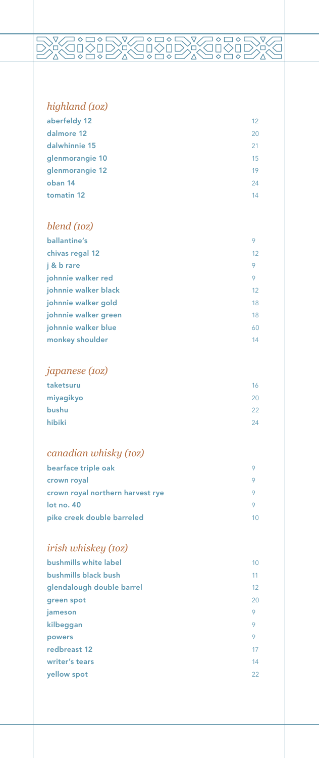# **Dienst Die Stein besonderen**

| highland (10z)                   |    |
|----------------------------------|----|
| aberfeldy 12                     | 12 |
| dalmore 12                       | 20 |
| dalwhinnie 15                    | 21 |
| glenmorangie 10                  | 15 |
| glenmorangie 12                  | 19 |
| oban 14                          | 24 |
| tomatin 12                       | 14 |
|                                  |    |
| blend (10z)                      |    |
| ballantine's                     | 9  |
| chivas regal 12                  | 12 |
| j & b rare                       | 9  |
| johnnie walker red               | 9  |
| johnnie walker black             | 12 |
| johnnie walker gold              | 18 |
| johnnie walker green             | 18 |
| johnnie walker blue              | 60 |
| monkey shoulder                  | 14 |
|                                  |    |
| <i>japanese</i> (10 <i>z</i> )   |    |
| taketsuru                        | 16 |
| miyagikyo                        | 20 |
| bushu                            | 22 |
| hibiki                           | 24 |
|                                  |    |
| canadian whisky (10z)            |    |
| bearface triple oak              | 9  |
| crown royal                      | 9  |
| crown royal northern harvest rye | 9  |
| lot no. 40                       | 9  |
| pike creek double barreled       | 10 |
|                                  |    |
| irish whiskey (10z)              |    |
| bushmills white label            | 10 |
| bushmills black bush             | 11 |
| glendalough double barrel        | 12 |
| green spot                       | 20 |
| jameson                          | 9  |
| kilbeggan                        | 9  |
| powers                           | 9  |
| redbreast 12                     | 17 |
| writer's tears                   | 14 |
| yellow spot                      | 22 |
|                                  |    |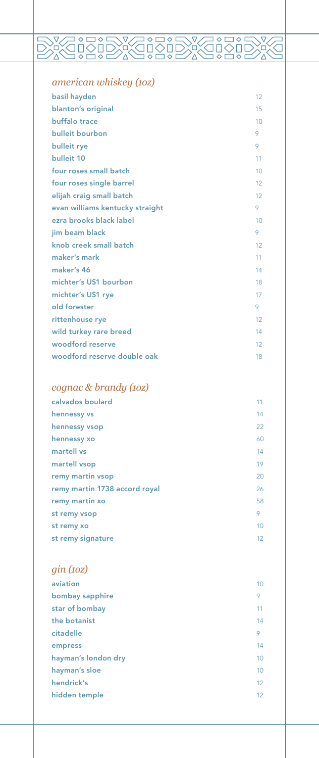# *american whiskey (1oz)*

D

 $\Box$ Г

| basil hayden                    | 12 <sup>°</sup> |
|---------------------------------|-----------------|
| blanton's original              | 15              |
| buffalo trace                   | 10 <sup>1</sup> |
| <b>bulleit bourbon</b>          | 9               |
| bulleit rye                     | 9               |
| bulleit 10                      | 11              |
| four roses small batch          | 10 <sup>1</sup> |
| four roses single barrel        | 12              |
| elijah craig small batch        | 12              |
| evan williams kentucky straight | 9               |
| ezra brooks black label         | 10 <sup>1</sup> |
| jim beam black                  | 9               |
| knob creek small batch          | 12              |
| maker's mark                    | 11              |
| maker's 46                      | 14              |
| michter's US1 bourbon           | 18              |
| michter's US1 rye               | 17              |
| old forester                    | 9               |
| rittenhouse rye                 | 12 <sup>°</sup> |
| wild turkey rare breed          | 14              |
| woodford reserve                | 12 <sup>°</sup> |
| woodford reserve double oak     | 18              |

<u>XGISIDXGISIDXGISIDX</u>

 $\overline{\sum_{\lambda\in\mathcal{K}}}$ 

 $\lesssim$ 

# *cognac & brandy (1oz)*

| calvados boulard              | 11 |
|-------------------------------|----|
| hennessy vs                   | 14 |
| hennessy vsop                 | 22 |
| hennessy xo                   | 60 |
| martell vs                    | 14 |
| martell vsop                  | 19 |
| remy martin vsop              | 20 |
| remy martin 1738 accord royal | 26 |
| remy martin xo                | 58 |
| st remy vsop                  | 9  |
| st remy xo                    | 10 |
| st remy signature             | 12 |

# *gin (1oz)*

| aviation            | 10              |
|---------------------|-----------------|
| bombay sapphire     | 9               |
| star of bombay      | 11              |
| the botanist        | 14              |
| citadelle           | 9               |
| empress             | 14              |
| hayman's london dry | 10 <sup>°</sup> |
| hayman's sloe       | 10              |
| hendrick's          | 12              |
| hidden temple       | 12 <sup>2</sup> |
|                     |                 |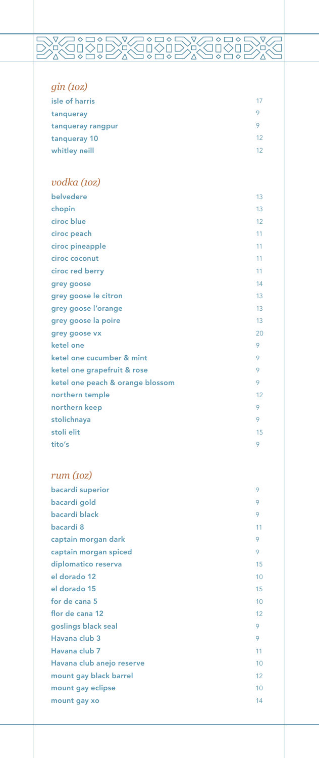## XGISIDXGISIDXGISIDXG Е  $\overline{\mathbb{D}}$ Г

| gin(10z)          |    |
|-------------------|----|
| isle of harris    | 17 |
| tanqueray         | 9  |
| tanqueray rangpur | 9  |
| tanqueray 10      | 12 |
| whitley neill     | 12 |

## *vodka (1oz)*

| 13 |
|----|
| 13 |
| 12 |
| 11 |
| 11 |
| 11 |
| 11 |
| 14 |
| 13 |
| 13 |
| 13 |
| 20 |
| 9  |
| 9  |
| 9  |
| 9  |
| 12 |
| 9  |
| 9  |
| 15 |
| 9  |
|    |

# *rum (1oz)*

| bacardi superior          | 9  |
|---------------------------|----|
| bacardi gold              | 9  |
| bacardi black             | 9  |
| bacardi 8                 | 11 |
| captain morgan dark       | 9  |
| captain morgan spiced     | 9  |
| diplomatico reserva       | 15 |
| el dorado 12              | 10 |
| el dorado 15              | 15 |
| for de cana 5             | 10 |
| flor de cana 12           | 12 |
| goslings black seal       | 9  |
| Havana club 3             | 9  |
| Havana club 7             | 11 |
| Havana club anejo reserve | 10 |
| mount gay black barrel    | 12 |
| mount gay eclipse         | 10 |
| mount gay xo              | 14 |
|                           |    |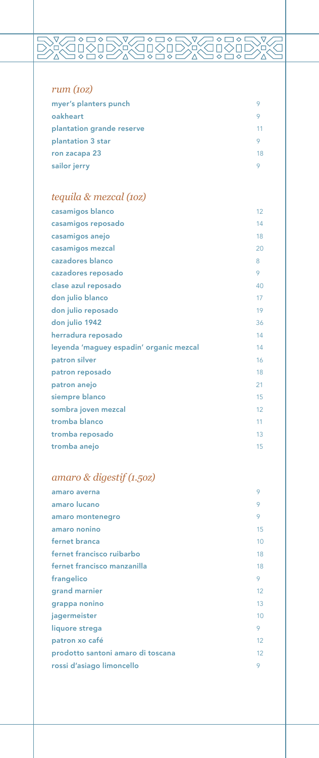# *rum (1oz)*

D

Е

Г

| myer's planters punch     |    |
|---------------------------|----|
| oakheart                  |    |
| plantation grande reserve | 11 |
| plantation 3 star         |    |
| ron zacapa 23             | 18 |
| sailor jerry              |    |

XQ:Z:DXQ:Z:DXQ:Z:D

 $\nabla_{\epsilon}$  $\overline{\Xi}_\zeta$ 

`∆`

# *tequila & mezcal (1oz)*

| casamigos blanco                        | 12 |
|-----------------------------------------|----|
| casamigos reposado                      | 14 |
| casamigos anejo                         | 18 |
| casamigos mezcal                        | 20 |
| cazadores blanco                        | 8  |
| cazadores reposado                      | 9  |
| clase azul reposado                     | 40 |
| don julio blanco                        | 17 |
| don julio reposado                      | 19 |
| don julio 1942                          | 36 |
| herradura reposado                      | 14 |
| leyenda 'maguey espadin' organic mezcal | 14 |
| patron silver                           | 16 |
| patron reposado                         | 18 |
| patron anejo                            | 21 |
| siempre blanco                          | 15 |
| sombra joven mezcal                     | 12 |
| tromba blanco                           | 11 |
| tromba reposado                         | 13 |
| tromba anejo                            | 15 |

# *amaro & digestif (1.5oz)*

| amaro averna                      | 9               |
|-----------------------------------|-----------------|
| amaro lucano                      | 9               |
| amaro montenegro                  | 9               |
| amaro nonino                      | 15              |
| fernet branca                     | 10 <sup>°</sup> |
| fernet francisco ruibarbo         | 18              |
| fernet francisco manzanilla       | 18              |
| frangelico                        | 9               |
| grand marnier                     | 12 <sup>°</sup> |
| grappa nonino                     | 13              |
| jagermeister                      | 10 <sup>°</sup> |
| liquore strega                    | 9               |
| patron xo café                    | 12 <sup>°</sup> |
| prodotto santoni amaro di toscana | 12 <sup>2</sup> |
| rossi d'asiago limoncello         | 9               |
|                                   |                 |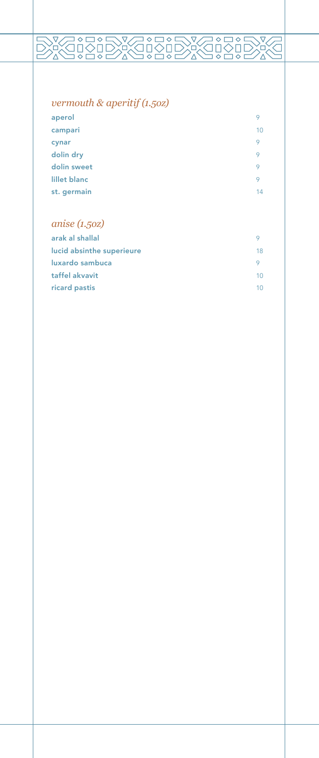# *vermouth & aperitif (1.5oz)*

Е  $\mathbb D$ Г

| aperol                    | 9  |
|---------------------------|----|
| campari                   | 10 |
| cynar                     | 9  |
| dolin dry                 | 9  |
| dolin sweet               | 9  |
| lillet blanc              | 9  |
| st. germain               | 14 |
|                           |    |
| anise $(1.50z)$           |    |
| arak al shallal           | 9  |
| lucid absinthe superieure | 18 |

XGISIBXGISIBXGISIBXG

| luxardo sambuca |    |
|-----------------|----|
| taffel akvavit  | 10 |
| ricard pastis   | 10 |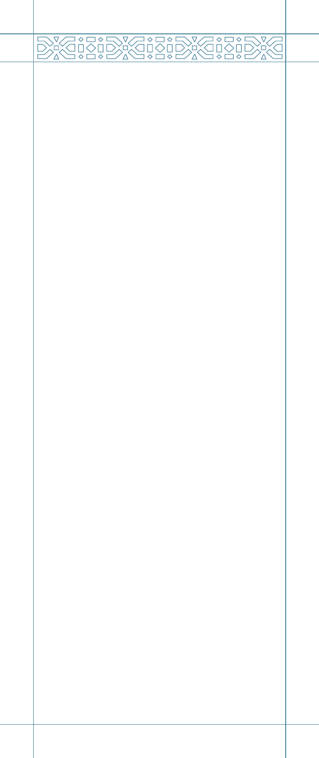